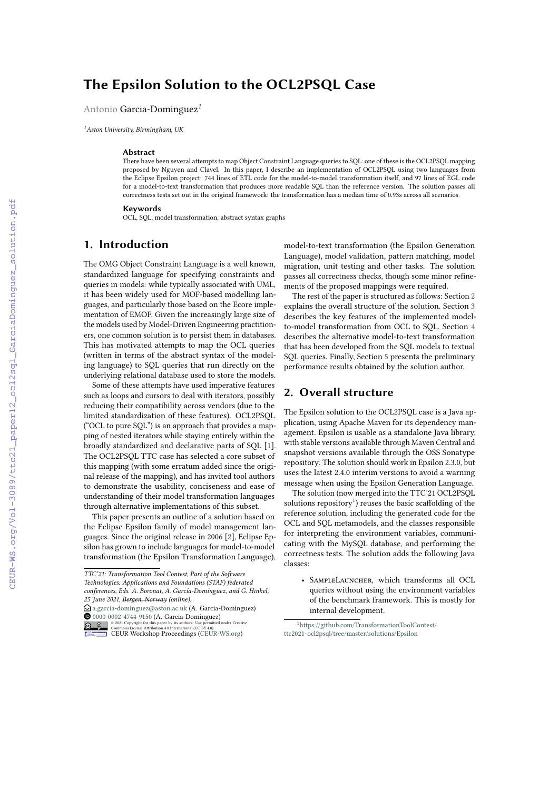# **The Epsilon Solution to the OCL2PSQL Case**

Antonio Garcia-Dominguez*1*

*<sup>1</sup>Aston University, Birmingham, UK*

#### **Abstract**

There have been several attempts to map Object Constraint Language queries to SQL: one of these is the OCL2PSQL mapping proposed by Nguyen and Clavel. In this paper, I describe an implementation of OCL2PSQL using two languages from the Eclipse Epsilon project: 744 lines of ETL code for the model-to-model transformation itself, and 97 lines of EGL code for a model-to-text transformation that produces more readable SQL than the reference version. The solution passes all correctness tests set out in the original framework: the transformation has a median time of 0.93s across all scenarios.

#### **Keywords**

OCL, SQL, model transformation, abstract syntax graphs

### **1. Introduction**

The OMG Object Constraint Language is a well known, standardized language for specifying constraints and queries in models: while typically associated with UML, it has been widely used for MOF-based modelling languages, and particularly those based on the Ecore implementation of EMOF. Given the increasingly large size of the models used by Model-Driven Engineering practitioners, one common solution is to persist them in databases. This has motivated attempts to map the OCL queries (written in terms of the abstract syntax of the modeling language) to SQL queries that run directly on the underlying relational database used to store the models.

Some of these attempts have used imperative features such as loops and cursors to deal with iterators, possibly reducing their compatibility across vendors (due to the limited standardization of these features). OCL2PSQL ("OCL to pure SQL") is an approach that provides a mapping of nested iterators while staying entirely within the broadly standardized and declarative parts of SQL [\[1\]](#page--1-0). The OCL2PSQL TTC case has selected a core subset of this mapping (with some erratum added since the original release of the mapping), and has invited tool authors to demonstrate the usability, conciseness and ease of understanding of their model transformation languages through alternative implementations of this subset.

This paper presents an outline of a solution based on the Eclipse Epsilon family of model management languages. Since the original release in 2006 [\[2\]](#page--1-1), Eclipse Epsilon has grown to include languages for model-to-model transformation (the Epsilon Transformation Language),

 $\bigcirc$  [a.garcia-dominguez@aston.ac.uk](mailto:a.garcia-dominguez@aston.ac.uk) (A. Garcia-Dominguez) [0000-0002-4744-9150](https://orcid.org/0000-0002-4744-9150) (A. Garcia-Dominguez)

© 2021 Copyright for this paper by its authors. Use permitted under Creative Commons License Attribution 4.0 International (CC BY 4.0). [CEUR](https://creativecommons.org/licenses/by/4.0) Workshop [Proceedings](http://ceur-ws.org) http://ceur-ws.org ISSN 1613-0073 CEUR Workshop Proceedings [\(CEUR-WS.org\)](http://ceur-ws.org)

model-to-text transformation (the Epsilon Generation Language), model validation, pattern matching, model migration, unit testing and other tasks. The solution passes all correctness checks, though some minor refinements of the proposed mappings were required.

The rest of the paper is structured as follows: Section [2](#page-0-0) explains the overall structure of the solution. Section [3](#page--1-2) describes the key features of the implemented modelto-model transformation from OCL to SQL. Section [4](#page--1-3) describes the alternative model-to-text transformation that has been developed from the SQL models to textual SQL queries. Finally, Section [5](#page--1-4) presents the preliminary performance results obtained by the solution author.

### <span id="page-0-0"></span>**2. Overall structure**

The Epsilon solution to the OCL2PSQL case is a Java application, using Apache Maven for its dependency management. Epsilon is usable as a standalone Java library, with stable versions available through Maven Central and snapshot versions available through the OSS Sonatype repository. The solution should work in Epsilon 2.3.0, but uses the latest 2.4.0 interim versions to avoid a warning message when using the Epsilon Generation Language.

The solution (now merged into the TTC'21 OCL2PSQL solutions repository<sup>[1](#page-0-1)</sup>) reuses the basic scaffolding of the reference solution, including the generated code for the OCL and SQL metamodels, and the classes responsible for interpreting the environment variables, communicating with the MySQL database, and performing the correctness tests. The solution adds the following Java classes:

• SAMPLELAUNCHER, which transforms all OCL queries without using the environment variables of the benchmark framework. This is mostly for internal development.

<span id="page-0-1"></span><sup>1</sup>[https://github.com/TransformationToolContest/](https://github.com/TransformationToolContest/ttc2021-ocl2psql/tree/master/solutions/Epsilon) [ttc2021-ocl2psql/tree/master/solutions/Epsilon](https://github.com/TransformationToolContest/ttc2021-ocl2psql/tree/master/solutions/Epsilon)

*TTC'21: Transformation Tool Contest, Part of the Software Technologies: Applications and Foundations (STAF) federated conferences, Eds. A. Boronat, A. García-Domínguez, and G. Hinkel, 25 June 2021, Bergen, Norway (online).*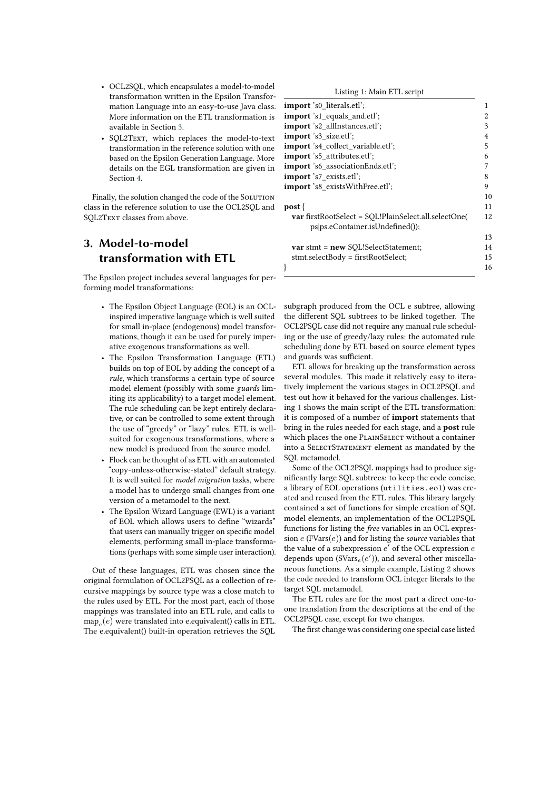- OCL2SQL, which encapsulates a model-to-model transformation written in the Epsilon Transformation Language into an easy-to-use Java class. More information on the ETL transformation is available in Section [3.](#page-1-0)
- SOL2TEXT, which replaces the model-to-text transformation in the reference solution with one based on the Epsilon Generation Language. More details on the EGL transformation are given in Section [4.](#page-3-0)

Finally, the solution changed the code of the SOLUTION class in the reference solution to use the OCL2SQL and SQL2TEXT classes from above.

# <span id="page-1-0"></span>**3. Model-to-model transformation with ETL**

The Epsilon project includes several languages for performing model transformations:

- The Epsilon Object Language (EOL) is an OCLinspired imperative language which is well suited for small in-place (endogenous) model transformations, though it can be used for purely imperative exogenous transformations as well.
- The Epsilon Transformation Language (ETL) builds on top of EOL by adding the concept of a *rule*, which transforms a certain type of source model element (possibly with some *guards* limiting its applicability) to a target model element. The rule scheduling can be kept entirely declarative, or can be controlled to some extent through the use of "greedy" or "lazy" rules. ETL is wellsuited for exogenous transformations, where a new model is produced from the source model.
- Flock can be thought of as ETL with an automated "copy-unless-otherwise-stated" default strategy. It is well suited for *model migration* tasks, where a model has to undergo small changes from one version of a metamodel to the next.
- The Epsilon Wizard Language (EWL) is a variant of EOL which allows users to define "wizards" that users can manually trigger on specific model elements, performing small in-place transformations (perhaps with some simple user interaction).

Out of these languages, ETL was chosen since the original formulation of OCL2PSQL as a collection of recursive mappings by source type was a close match to the rules used by ETL. For the most part, each of those mappings was translated into an ETL rule, and calls to  $\mathrm{map}_e(e)$  were translated into e.<br>equivalent() calls in ETL. The e.equivalent() built-in operation retrieves the SQL

| Listing 1: Main ETL script |
|----------------------------|
|----------------------------|

<span id="page-1-1"></span>

| import 's0 literals.etl';                            |    |
|------------------------------------------------------|----|
| <b>import</b> 's1 equals and.etl';                   | 2  |
| import 's2 allInstances.etl';                        | 3  |
| <b>import</b> 's3 size.etl';                         | 4  |
| import 's4 collect variable.etl';                    | 5  |
| import 's5_attributes.etl';                          | 6  |
| import 's6 associationEnds.etl';                     | 7  |
| import 's7_exists.etl';                              | 8  |
| import 's8_existsWithFree.etl';                      | 9  |
|                                                      | 10 |
| $post\}$                                             | 11 |
| var firstRootSelect = SQL!PlainSelect.all.selectOne( | 12 |
| ps ps.eContainer.isUndefined());                     |    |
|                                                      | 13 |
| var stmt = new SQL!SelectStatement;                  | 14 |
| stmt.selectBody = firstRootSelect;                   | 15 |
|                                                      | 16 |
|                                                      |    |

subgraph produced from the OCL e subtree, allowing the different SQL subtrees to be linked together. The OCL2PSQL case did not require any manual rule scheduling or the use of greedy/lazy rules: the automated rule scheduling done by ETL based on source element types and guards was sufficient.

ETL allows for breaking up the transformation across several modules. This made it relatively easy to iteratively implement the various stages in OCL2PSQL and test out how it behaved for the various challenges. Listing [1](#page-1-1) shows the main script of the ETL transformation: it is composed of a number of **import** statements that bring in the rules needed for each stage, and a **post** rule which places the one PLAINSELECT without a container into a SELECTSTATEMENT element as mandated by the SQL metamodel.

Some of the OCL2PSQL mappings had to produce significantly large SQL subtrees: to keep the code concise, a library of EOL operations (utilities.eol) was created and reused from the ETL rules. This library largely contained a set of functions for simple creation of SQL model elements, an implementation of the OCL2PSQL functions for listing the *free* variables in an OCL expression  $e$  (FVars $(e)$ ) and for listing the *source* variables that the value of a subexpression  $e'$  of the OCL expression  $e$ depends upon (SVars $_e(e')$ ), and several other miscellaneous functions. As a simple example, Listing [2](#page-2-0) shows the code needed to transform OCL integer literals to the target SQL metamodel.

The ETL rules are for the most part a direct one-toone translation from the descriptions at the end of the OCL2PSQL case, except for two changes.

The first change was considering one special case listed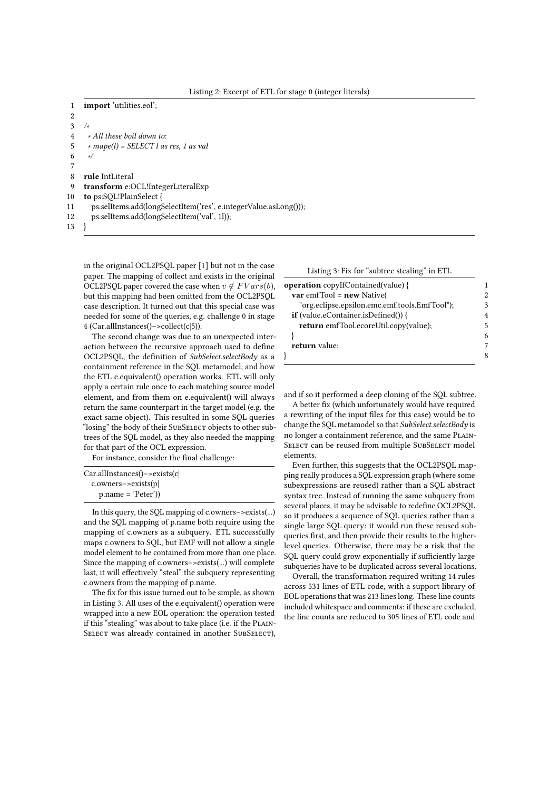Listing 2: Excerpt of ETL for stage 0 (integer literals)

```
1 import 'utilities.eol';
 2
 3 /∗
 4 ∗ All these boil down to:
 5 ∗ mape(l) = SELECT l as res, 1 as val
 6 ∗/
 7
 8 rule IntLiteral
 9 transform e:OCL!IntegerLiteralExp
10 to ps:SQL!PlainSelect {
11 ps.selItems.add(longSelectItem('res', e.integerValue.asLong()));
12 ps.selItems.add(longSelectItem('val', 1l));
13 }
```
in the original OCL2PSQL paper [\[1\]](#page-4-0) but not in the case paper. The mapping of collect and exists in the original OCL2PSQL paper covered the case when  $v \notin FVars(b)$ , but this mapping had been omitted from the OCL2PSQL case description. It turned out that this special case was needed for some of the queries, e.g. challenge 0 in stage 4 (Car.allInstances()−>collect(c|5)).

The second change was due to an unexpected interaction between the recursive approach used to define OCL2PSQL, the definition of *SubSelect.selectBody* as a containment reference in the SQL metamodel, and how the ETL e.equivalent() operation works. ETL will only apply a certain rule once to each matching source model element, and from them on e.equivalent() will always return the same counterpart in the target model (e.g. the exact same object). This resulted in some SQL queries "losing" the body of their SUBSELECT objects to other subtrees of the SQL model, as they also needed the mapping for that part of the OCL expression.

For instance, consider the final challenge:

| $Car. all instances() \rightarrow exists(c)$ |  |
|----------------------------------------------|--|
| $c. owners \rightarrow exists(p)$            |  |
| $p.name = 'Peter')$                          |  |

In this query, the SQL mapping of c.owners−>exists(...) and the SQL mapping of p.name both require using the mapping of c.owners as a subquery. ETL successfully maps c.owners to SQL, but EMF will not allow a single model element to be contained from more than one place. Since the mapping of c.owners−>exists(...) will complete last, it will effectively "steal" the subquery representing c.owners from the mapping of p.name.

The fix for this issue turned out to be simple, as shown in Listing [3.](#page-2-1) All uses of the e.equivalent() operation were wrapped into a new EOL operation: the operation tested if this "stealing" was about to take place (i.e. if the PLAIN-SELECT was already contained in another SUBSELECT),

<span id="page-2-1"></span>

| Listing 3: Fix for "subtree stealing" in ETL  |   |
|-----------------------------------------------|---|
| <b>operation</b> copyIfContained(value) {     |   |
| $var$ emfTool = new Native(                   | 2 |
| "org.eclipse.epsilon.emc.emf.tools.EmfTool"); | 3 |
| <b>if</b> (value.eContainer.isDefined()) {    | 4 |
| return emfTool.ecoreUtil.copy(value);         | 5 |
|                                               | 6 |
| return value:                                 |   |
|                                               |   |

and if so it performed a deep cloning of the SQL subtree.

A better fix (which unfortunately would have required a rewriting of the input files for this case) would be to change the SQL metamodel so that *SubSelect.selectBody* is no longer a containment reference, and the same PLAIN-SELECT can be reused from multiple SUBSELECT model elements.

Even further, this suggests that the OCL2PSQL mapping really produces a SQL expression graph (where some subexpressions are reused) rather than a SQL abstract syntax tree. Instead of running the same subquery from several places, it may be advisable to redefine OCL2PSQL so it produces a sequence of SQL queries rather than a single large SQL query: it would run these reused subqueries first, and then provide their results to the higherlevel queries. Otherwise, there may be a risk that the SQL query could grow exponentially if sufficiently large subqueries have to be duplicated across several locations.

Overall, the transformation required writing 14 rules across 531 lines of ETL code, with a support library of EOL operations that was 213 lines long. These line counts included whitespace and comments: if these are excluded, the line counts are reduced to 305 lines of ETL code and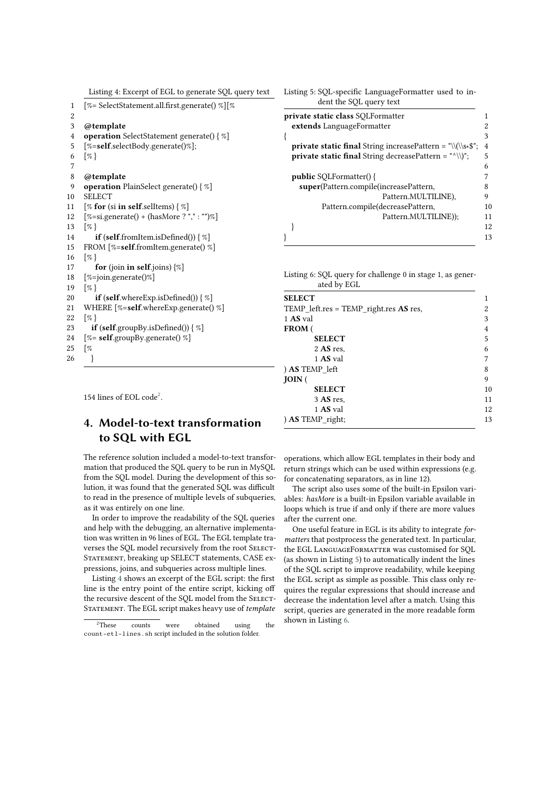<span id="page-3-2"></span>

|  | Listing 4: Excerpt of EGL to generate SQL query text |  |  |
|--|------------------------------------------------------|--|--|
|  |                                                      |  |  |

| 1  | [%= SelectStatement.all.first.generate() %][%                      |
|----|--------------------------------------------------------------------|
| 2  |                                                                    |
| 3  | @template                                                          |
| 4  | <b>operation</b> SelectStatement generate() { %]                   |
| 5  | $[\%=\text{self}.\text{selectBody}.\text{generate}()%];$           |
| 6  | $\lceil \% \rceil$                                                 |
| 7  |                                                                    |
| 8  | @template                                                          |
| 9  | <b>operation</b> PlainSelect generate() { %]                       |
| 10 | <b>SELECT</b>                                                      |
| 11 | [% for (si in self.selltems) $\{\%$ ]                              |
| 12 | $[\% = \text{si.generate}() + (\text{hasMore ? ", " " " " " })\%]$ |
| 13 | $\lceil \% \rceil$                                                 |
| 14 | <b>if</b> (self.fromItem.isDefined()) $\{\%$ ]                     |
| 15 | FROM [%=self.fromItem.generate() %]                                |
| 16 | $\lceil \% \rceil$                                                 |
| 17 | <b>for</b> (join <b>in self</b> .joins) $\{\%$                     |
| 18 | $[\% = join.generate()$                                            |
| 19 | $\lceil \mathcal{Z} \rceil$                                        |
| 20 | <b>if</b> (self.whereExp.isDefined()) $\{\%$                       |
| 21 | WHERE [%=self.whereExp.generate() %]                               |
| 22 | $\lceil \% \rceil$                                                 |
| 23 | <b>if</b> (self.groupBy.isDefined()) $\{\% \}$                     |
| 24 | [%= self.groupBy.generate() %]                                     |
| 25 | $\lceil \%$                                                        |
| 26 | ł                                                                  |
|    |                                                                    |

154 lines of EOL code<sup>[2](#page-3-1)</sup>.

# <span id="page-3-0"></span>**4. Model-to-text transformation to SQL with EGL**

The reference solution included a model-to-text transformation that produced the SQL query to be run in MySQL from the SQL model. During the development of this solution, it was found that the generated SQL was difficult to read in the presence of multiple levels of subqueries, as it was entirely on one line.

In order to improve the readability of the SQL queries and help with the debugging, an alternative implementation was written in 96 lines of EGL. The EGL template traverses the SQL model recursively from the root SELECT-STATEMENT, breaking up SELECT statements, CASE expressions, joins, and subqueries across multiple lines.

Listing [4](#page-3-2) shows an excerpt of the EGL script: the first line is the entry point of the entire script, kicking off the recursive descent of the SQL model from the SELECT-STATEMENT. The EGL script makes heavy use of *template*  <span id="page-3-3"></span>Listing 5: SQL-specific LanguageFormatter used to indent the SQL query text

| private static class SQLFormatter                                 |    |
|-------------------------------------------------------------------|----|
| extends LanguageFormatter                                         |    |
|                                                                   | 3  |
| <b>private static final</b> String increasePattern = "\\(\\s*\$"; | 4  |
| private static final String decreasePattern = "^\\)";             | 5  |
|                                                                   | 6  |
| <b>public</b> SQLFormatter() {                                    |    |
| super(Pattern.compile(increasePattern,                            |    |
| Pattern.MULTILINE),                                               | 9  |
| Pattern.compile(decreasePattern,                                  | 10 |
| Pattern.MULTILINE));                                              | 11 |
|                                                                   | 12 |
|                                                                   | 13 |
|                                                                   |    |

<span id="page-3-4"></span>Listing 6: SQL query for challenge 0 in stage 1, as generated by EGL

operations, which allow EGL templates in their body and return strings which can be used within expressions (e.g. for concatenating separators, as in line 12).

The script also uses some of the built-in Epsilon variables: *hasMore* is a built-in Epsilon variable available in loops which is true if and only if there are more values after the current one.

One useful feature in EGL is its ability to integrate *formatters* that postprocess the generated text. In particular, the EGL LANGUAGEFORMATTER was customised for SQL (as shown in Listing [5\)](#page-3-3) to automatically indent the lines of the SQL script to improve readability, while keeping the EGL script as simple as possible. This class only requires the regular expressions that should increase and decrease the indentation level after a match. Using this script, queries are generated in the more readable form shown in Listing [6.](#page-3-4)

<span id="page-3-1"></span><sup>&</sup>lt;sup>2</sup>These counts were obtained using the count-etl-lines.sh script included in the solution folder.